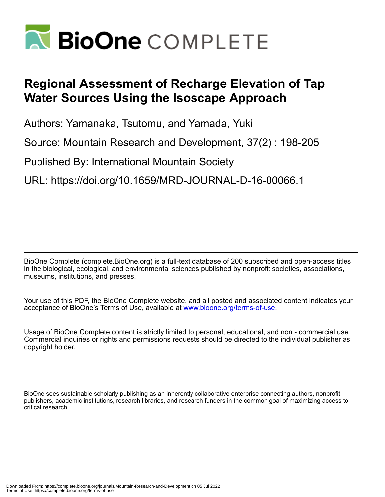

# **Regional Assessment of Recharge Elevation of Tap Water Sources Using the Isoscape Approach**

Authors: Yamanaka, Tsutomu, and Yamada, Yuki

Source: Mountain Research and Development, 37(2) : 198-205

Published By: International Mountain Society

URL: https://doi.org/10.1659/MRD-JOURNAL-D-16-00066.1

BioOne Complete (complete.BioOne.org) is a full-text database of 200 subscribed and open-access titles in the biological, ecological, and environmental sciences published by nonprofit societies, associations, museums, institutions, and presses.

Your use of this PDF, the BioOne Complete website, and all posted and associated content indicates your acceptance of BioOne's Terms of Use, available at www.bioone.org/terms-of-use.

Usage of BioOne Complete content is strictly limited to personal, educational, and non - commercial use. Commercial inquiries or rights and permissions requests should be directed to the individual publisher as copyright holder.

BioOne sees sustainable scholarly publishing as an inherently collaborative enterprise connecting authors, nonprofit publishers, academic institutions, research libraries, and research funders in the common goal of maximizing access to critical research.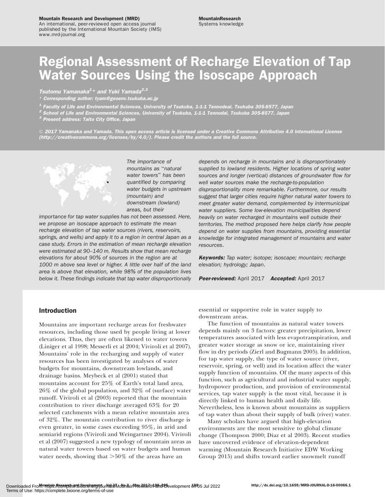#### Mountain Research and Development (MRD)

An international, peer-reviewed open access journal published by the International Mountain Society (IMS) www.mrd-journal.org

## Regional Assessment of Recharge Elevation of Tap Water Sources Using the Isoscape Approach

Tsutomu Yamanaka<sup>1</sup>\* and Yuki Yamada<sup>2,3</sup>

Corresponding author: [tyam@geoenv.tsukuba.ac.jp](mailto:tyam@geoenv.tsukuba.ac.jp)

 $^{\texttt{1}}$  Faculty of Life and Environmental Sciences, University of Tsukuba, 1-1-1 Tennodeai, Tsukuba 305-8577, Japan

 $^{\mathsf{2}}$  School of Life and Environmental Sciences, University of Tsukuba, 1-1-1 Tennodai, Tsukuba 305-8577, Japan

<sup>3</sup> Present address: Taito City Office, Japan

 $\odot$  2017 Yamanaka and Yamada. This open access article is licensed under a Creative Commons Attribution 4.0 International License [\(http://creativecommons.org/licenses/by/4.0/](http://creativecommons.org/licenses/by/4.0/)). Please credit the authors and the full source.



The importance of mountains as ''natural water towers'' has been quantified by comparing water budgets in upstream (mountain) and downstream (lowland) areas, but their

importance for tap water supplies has not been assessed. Here, we propose an isoscape approach to estimate the mean recharge elevation of tap water sources (rivers, reservoirs, springs, and wells) and apply it to a region in central Japan as a case study. Errors in the estimation of mean recharge elevation were estimated at 90–140 m. Results show that mean recharge elevations for about 90% of sources in the region are at 1000 m above sea level or higher. A little over half of the land area is above that elevation, while 98% of the population lives below it. These findings indicate that tap water disproportionally depends on recharge in mountains and is disproportionately supplied to lowland residents. Higher locations of spring water sources and longer (vertical) distances of groundwater flow for well water sources make the recharge-to-population disproportionality more remarkable. Furthermore, our results suggest that larger cities require higher natural water towers to meet greater water demand, complemented by intermunicipal water suppliers. Some low-elevation municipalities depend heavily on water recharged in mountains well outside their territories. The method proposed here helps clarify how people depend on water supplies from mountains, providing essential knowledge for integrated management of mountains and water resources.

Keywords: Tap water; isotope; isoscape; mountain; recharge elevation; hydrology; Japan.

Peer-reviewed: April 2017 Accepted: April 2017

## Introduction

Mountains are important recharge areas for freshwater resources, including those used by people living at lower elevations. Thus, they are often likened to water towers (Liniger et al 1998; Messerli et al 2004; Viviroli et al 2007). Mountains' role in the recharging and supply of water resources has been investigated by analyses of water budgets for mountains, downstream lowlands, and drainage basins. Meybeck et al (2001) stated that mountains account for 25% of Earth's total land area, 26% of the global population, and 32% of (surface) water runoff. Viviroli et al (2003) reported that the mountain contribution to river discharge averaged 63% for 20 selected catchments with a mean relative mountain area of 32%. The mountain contribution to river discharge is even greater, in some cases exceeding 95%, in arid and semiarid regions (Viviroli and Weingartner 2004). Viviroli et al (2007) suggested a new typology of mountain areas as natural water towers based on water budgets and human water needs, showing that  $>50\%$  of the areas have an

essential or supportive role in water supply to downstream areas.

The function of mountains as natural water towers depends mainly on 3 factors: greater precipitation, lower temperatures associated with less evapotranspiration, and greater water storage as snow or ice, maintaining river flow in dry periods (Zierl and Bugmann 2005). In addition, for tap water supply, the type of water source (river, reservoir, spring, or well) and its location affect the water supply function of mountains. Of the many aspects of this function, such as agricultural and industrial water supply, hydropower production, and provision of environmental services, tap water supply is the most vital, because it is directly linked to human health and daily life. Nevertheless, less is known about mountains as suppliers of tap water than about their supply of bulk (river) water.

Many scholars have argued that high-elevation environments are the most sensitive to global climate change (Thompson 2000; Diaz et al 2003). Recent studies have uncovered evidence of elevation-dependent warming (Mountain Research Initiative EDW Working Group 2015) and shifts toward earlier snowmelt runoff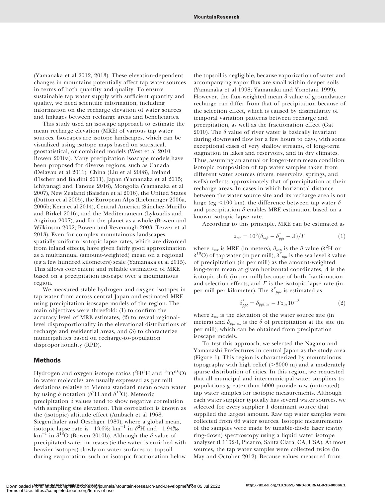(Yamanaka et al 2012, 2013). These elevation-dependent changes in mountains potentially affect tap water sources in terms of both quantity and quality. To ensure sustainable tap water supply with sufficient quantity and quality, we need scientific information, including information on the recharge elevation of water sources and linkages between recharge areas and beneficiaries.

This study used an isoscape approach to estimate the mean recharge elevation (MRE) of various tap water sources. Isoscapes are isotope landscapes, which can be visualized using isotope maps based on statistical, geostatistical, or combined models (West et al 2010; Bowen 2010a). Many precipitation isoscape models have been proposed for diverse regions, such as Canada (Delavau et al 2011), China (Liu et al 2008), Ireland (Fischer and Baldini 2011), Japan (Yamanaka et al 2015; Ichiyanagi and Tanoue 2016), Mongolia (Yamanaka et al 2007), New Zealand (Baisden et al 2016), the United States (Dutton et al 2005), the European Alps (Liebminger 2006a, 2006b; Kern et al 2014), Central America (Sánchez-Murillo and Birkel 2016), and the Mediterranean (Lykoudis and Argiriou 2007), and for the planet as a whole (Bowen and Wilkinson 2002; Bowen and Revenaugh 2003; Terzer et al 2013). Even for complex mountainous landscapes, spatially uniform isotopic lapse rates, which are divorced from inland effects, have given fairly good approximation as a multiannual (amount-weighted) mean on a regional (eg a few hundred kilometers) scale (Yamanaka et al 2015). This allows convenient and reliable estimation of MRE based on a precipitation isoscape over a mountainous region.

We measured stable hydrogen and oxygen isotopes in tap water from across central Japan and estimated MRE using precipitation isoscape models of the region. The main objectives were threefold: (1) to confirm the accuracy level of MRE estimates, (2) to reveal regionallevel disproportionality in the elevational distributions of recharge and residential areas, and (3) to characterize municipalities based on recharge-to-population disproportionality (RPD).

### Methods

Hydrogen and oxygen isotope ratios  $(^{2}{\rm H/^{1}H}$  and  $^{18}{\rm O/^{16}O})$ in water molecules are usually expressed as per mill deviations relative to Vienna standard mean ocean water by using  $\delta$  notation ( $\delta^2 H$  and  $\delta^{18} O$ ). Meteoric precipitation  $\delta$  values tend to show negative correlation with sampling site elevation. This correlation is known as the (isotopic) altitude effect (Ambach et al 1968; Siegenthaler and Oeschger 1980), where a global mean, isotopic lapse rate is  $-13.6\%$  km<sup>-1</sup> in  $\delta^2$ H and -1.94‰ km<sup>-1</sup> in  $\delta^{18}$ O (Bowen 2010b). Although the  $\delta$  value of precipitated water increases (ie the water is enriched with heavier isotopes) slowly on water surfaces or topsoil during evaporation, such an isotopic fractionation below

the topsoil is negligible, because vaporization of water and accompanying vapor flux are small within deeper soils (Yamanaka et al 1998; Yamanaka and Yonetani 1999). However, the flux-weighted mean  $\delta$  value of groundwater recharge can differ from that of precipitation because of the selection effect, which is caused by dissimilarity of temporal variation patterns between recharge and precipitation, as well as the fractionation effect (Gat 2010). The  $\delta$  value of river water is basically invariant during downward flow for a few hours to days, with some exceptional cases of very shallow streams, of long-term stagnation in lakes and reservoirs, and in dry climates. Thus, assuming an annual or longer-term mean condition, isotopic composition of tap water samples taken from different water sources (rivers, reservoirs, springs, and wells) reflects approximately that of precipitation at their recharge areas. In cases in which horizontal distance between the water source site and its recharge area is not large (eg  $\leq$ 100 km), the difference between tap water  $\delta$ and precipitation  $\delta$  enables MRE estimation based on a known isotopic lapse rate.

According to this principle, MRE can be estimated as

$$
z_{mr} = 10^3 (\delta_{tap} - \delta_{ppt}^* - \Delta) / \Gamma \tag{1}
$$

where  $z_{mr}$  is MRE (in meters),  $\delta_{tap}$  is the  $\delta$  value ( $\delta^2$ H or  $\delta^{\rm 18} \rm O)$  of tap water (in per mill),  $\delta^*_{\phantom{*}ppt}$  is the sea level  $\delta$  value of precipitation (in per mill) as the amount-weighted long-term mean at given horizontal coordinates,  $\Delta$  is the isotopic shift (in per mill) because of both fractionation and selection effects, and  $\Gamma$  is the isotopic lapse rate (in per mill per kilometer). The  $\delta^*_{\ \, ppt}$  is estimated as

$$
\delta_{ppt}^* = \delta_{ppt,ws} - \Gamma z_{ws} 10^{-3} \tag{2}
$$

where  $z_{ws}$  is the elevation of the water source site (in meters) and  $\delta_{pt,ws}$  is the  $\delta$  of precipitation at the site (in per mill), which can be obtained from precipitation isoscape models.

To test this approach, we selected the Nagano and Yamanashi Prefectures in central Japan as the study area (Figure 1). This region is characterized by mountainous topography with high relief  $(>3000 \text{ m})$  and a moderately sparse distribution of cities. In this region, we requested that all municipal and intermunicipal water suppliers to populations greater than 5000 provide raw (untreated) tap water samples for isotopic measurements. Although each water supplier typically has several water sources, we selected for every supplier 1 dominant source that supplied the largest amount. Raw tap water samples were collected from 66 water sources. Isotopic measurements of the samples were made by tunable-diode laser (cavity ring-down) spectroscopy using a liquid water isotope analyzer (L1102-I, Picarro, Santa Clara, CA, USA). At most sources, the tap water samples were collected twice (in May and October 2012). Because values measured from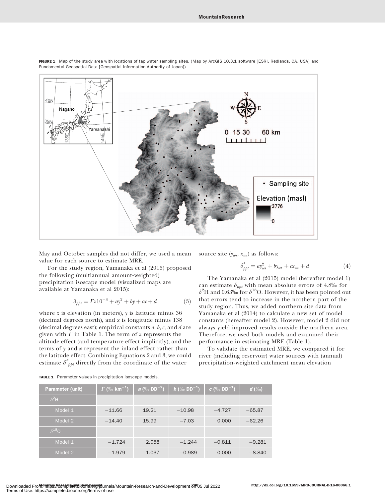

FIGURE 1 Map of the study area with locations of tap water sampling sites. (Map by ArcGIS 10.3.1 software [ESRI, Redlands, CA, USA] and Fundamental Geospatial Data [Geospatial Information Authority of Japan])

May and October samples did not differ, we used a mean value for each source to estimate MRE.

For the study region, Yamanaka et al (2015) proposed the following (multiannual amount-weighted) precipitation isoscape model (visualized maps are available at Yamanaka et al 2015):

$$
\delta_{ppt} = \Gamma z 10^{-3} + ay^2 + by + cx + d \tag{3}
$$

where  $z$  is elevation (in meters),  $y$  is latitude minus 36 (decimal degrees north), and  $x$  is longitude minus  $138$ (decimal degrees east); empirical constants  $a, b, c$ , and  $d$  are given with  $\Gamma$  in Table 1. The term of z represents the altitude effect (and temperature effect implicitly), and the terms of y and x represent the inland effect rather than the latitude effect. Combining Equations 2 and 3, we could estimate  $\delta^*_{\; ppt}$  directly from the coordinate of the water

source site  $(y_{ws}, x_{ws})$  as follows:

$$
\delta_{ppt}^* = ay_{ws}^2 + by_{ws} + cx_{ws} + d \tag{4}
$$

The Yamanaka et al (2015) model (hereafter model 1) can estimate  $\delta_{ppt}$  with mean absolute errors of 4.8% for  $\delta^2$ H and 0.63‰ for  $\delta^{18}$ O. However, it has been pointed out that errors tend to increase in the northern part of the study region. Thus, we added northern site data from Yamanaka et al (2014) to calculate a new set of model constants (hereafter model 2). However, model 2 did not always yield improved results outside the northern area. Therefore, we used both models and examined their performance in estimating MRE (Table 1).

To validate the estimated MRE, we compared it for river (including reservoir) water sources with (annual) precipitation-weighted catchment mean elevation

|  |  |  |  | <b>TABLE 1</b> Parameter values in precipitation isoscape models. |  |  |
|--|--|--|--|-------------------------------------------------------------------|--|--|
|--|--|--|--|-------------------------------------------------------------------|--|--|

| <b>Parameter (unit)</b> | $\Gamma$ (‰ km <sup>-1</sup> ) | $a \ (\%$ DD <sup>-2</sup> ) | <b>b</b> $(\%$ DD <sup>-1</sup> ) | c (‰ DD <sup>-1</sup> ) | $d$ (%o) |
|-------------------------|--------------------------------|------------------------------|-----------------------------------|-------------------------|----------|
| $\delta^2$ H            |                                |                              |                                   |                         |          |
| Model 1                 | $-11.66$                       | 19.21                        | $-10.98$                          | $-4.727$                | $-65.87$ |
| Model 2                 | $-14.40$                       | 15.99                        | $-7.03$                           | 0.000                   | $-62.26$ |
| $\delta^{18}$ O         |                                |                              |                                   |                         |          |
| Model 1                 | $-1.724$                       | 2.058                        | $-1.244$                          | $-0.811$                | $-9.281$ |
| Model 2                 | $-1.979$                       | 1.037                        | $-0.989$                          | 0.000                   | $-8.840$ |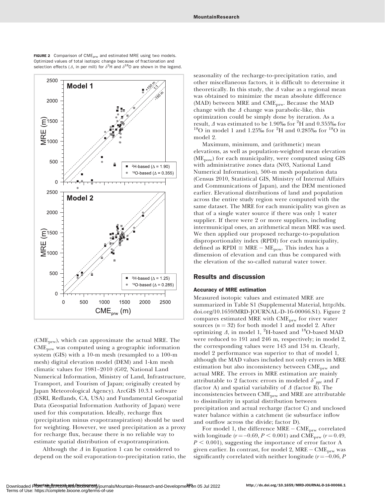

FIGURE 2 Comparison of  $CME<sub>prw</sub>$  and estimated MRE using two models. Optimized values of total isotopic change because of fractionation and selection effects ( $\varDelta$ , in per mill) for  $\delta^2$ H and  $\delta^{18}$ O are shown in the legend.

(CMEprw), which can approximate the actual MRE. The CMEprw was computed using a geographic information system (GIS) with a 10-m mesh (resampled to a 100-m mesh) digital elevation model (DEM) and 1-km mesh climatic values for 1981–2010 (G02, National Land Numerical Information, Ministry of Land, Infrastructure, Transport, and Tourism of Japan; originally created by Japan Meteorological Agency). ArcGIS 10.3.1 software (ESRI, Redlands, CA, USA) and Fundamental Geospatial Data (Geospatial Information Authority of Japan) were used for this computation. Ideally, recharge flux (precipitation minus evapotranspiration) should be used for weighting. However, we used precipitation as a proxy for recharge flux, because there is no reliable way to estimate spatial distribution of evapotranspiration.

Although the  $\Delta$  in Equation 1 can be considered to depend on the soil evaporation-to-precipitation ratio, the seasonality of the recharge-to-precipitation ratio, and other miscellaneous factors, it is difficult to determine it theoretically. In this study, the  $\Delta$  value as a regional mean was obtained to minimize the mean absolute difference (MAD) between MRE and CME<sub>prw</sub>. Because the MAD change with the  $\Delta$  change was parabolic-like, this optimization could be simply done by iteration. As a result,  $\Delta$  was estimated to be 1.90‰ for <sup>2</sup>H and 0.355‰ for result,  $\Delta$  was estimated to be 1.90‰ for <sup>2</sup>H and 0.355‰ for <sup>18</sup>O in model 1 and 1.25‰ for <sup>2</sup>H and 0.285‰ for <sup>18</sup>O in model 2.

Maximum, minimum, and (arithmetic) mean elevations, as well as population-weighted mean elevation (ME<sub>pow</sub>) for each municipality, were computed using GIS with administrative zones data (N03, National Land Numerical Information), 500-m mesh population data (Census 2010, Statistical GIS, Ministry of Internal Affairs and Communications of Japan), and the DEM mentioned earlier. Elevational distributions of land and population across the entire study region were computed with the same dataset. The MRE for each municipality was given as that of a single water source if there was only 1 water supplier. If there were 2 or more suppliers, including intermunicipal ones, an arithmetical mean MRE was used. We then applied our proposed recharge-to-population disproportionality index (RPDI) for each municipality, defined as RPDI  $\equiv$  MRE – ME<sub>pow</sub>. This index has a dimension of elevation and can thus be compared with the elevation of the so-called natural water tower.

## Results and discussion

### Accuracy of MRE estimation

Measured isotopic values and estimated MRE are summarized in Table S1 (Supplemental Material, [http://dx.](http://dx.doi.org/10.1659/MRD-JOURNAL-D-16-00066.S1) [doi.org/10.1659/MRD-JOURNAL-D-16-00066.S1\)](http://dx.doi.org/10.1659/MRD-JOURNAL-D-16-00066.S1). Figure 2 compares estimated MRE with CME<sub>prw</sub> for river water sources  $(n = 32)$  for both model 1 and model 2. After optimizing  $\varDelta$ , in model 1, <sup>2</sup>H-based and <sup>18</sup>O-based MAD were reduced to 191 and 246 m, respectively; in model 2, the corresponding values were 143 and 134 m. Clearly, model 2 performance was superior to that of model 1, although the MAD values included not only errors in MRE estimation but also inconsistency between  $\text{CME}_{\text{nrw}}$  and actual MRE. The errors in MRE estimation are mainly attributable to 2 factors: errors in modeled  $\delta^*_{\ \, ppt}$  and  $\Gamma$ (factor A) and spatial variability of  $\Delta$  (factor B). The inconsistencies between CMEprw and MRE are attributable to dissimilarity in spatial distribution between precipitation and actual recharge (factor C) and unclosed water balance within a catchment (ie subsurface inflow and outflow across the divide; factor D).

For model 1, the difference MRE –  $\mathrm{CME}_{\text{prw}}$  correlated with longitude ( $r = -0.69, P < 0.001$ ) and CME<sub>prw</sub> ( $r = 0.49$ ,  $P < 0.001$ ), suggesting the importance of error factor A given earlier. In contrast, for model 2, MRE – CME<sub>prw</sub> was significantly correlated with neither longitude ( $r = -0.06$ ,  $P$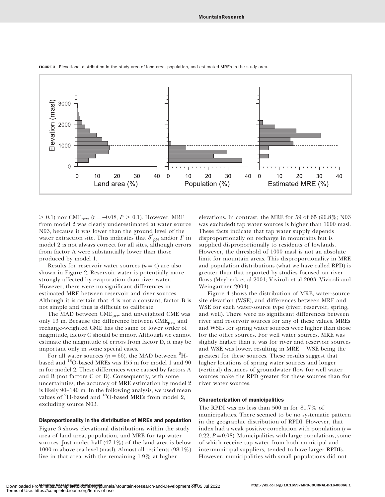

FIGURE 3 Elevational distribution in the study area of land area, population, and estimated MREs in the study area.

 $> 0.1$ ) nor CME<sub>prw</sub> ( $r = -0.08, P > 0.1$ ). However, MRE from model 2 was clearly underestimated at water source N03, because it was lower than the ground level of the water extraction site. This indicates that  $\delta^*_{\ \, ppt}$  and/or  $\Gamma$  in model 2 is not always correct for all sites, although errors from factor A were substantially lower than those produced by model 1.

Results for reservoir water sources  $(n = 4)$  are also shown in Figure 2. Reservoir water is potentially more strongly affected by evaporation than river water. However, there were no significant differences in estimated MRE between reservoir and river sources. Although it is certain that  $\Delta$  is not a constant, factor B is not simple and thus is difficult to calibrate.

The MAD between CME<sub>prw</sub> and unweighted CME was only 13 m. Because the difference between CME<sub>prw</sub> and recharge-weighted CME has the same or lower order of magnitude, factor C should be minor. Although we cannot estimate the magnitude of errors from factor D, it may be important only in some special cases.

For all water sources ( $n = 66$ ), the MAD between <sup>2</sup>Hbased and <sup>18</sup>O-based MREs was 155 m for model 1 and 90 m for model 2. These differences were caused by factors A and B (not factors C or D). Consequently, with some uncertainties, the accuracy of MRE estimation by model 2 is likely 90–140 m. In the following analysis, we used mean values of <sup>2</sup>H-based and <sup>18</sup>O-based MREs from model 2, excluding source N03.

#### Disproportionality in the distribution of MREs and population

Figure 3 shows elevational distributions within the study area of land area, population, and MRE for tap water sources. Just under half  $(47.1\%)$  of the land area is below 1000 m above sea level (masl). Almost all residents (98.1%) live in that area, with the remaining 1.9% at higher

elevations. In contrast, the MRE for 59 of 65 (90.8%; N03 was excluded) tap water sources is higher than 1000 masl. These facts indicate that tap water supply depends disproportionally on recharge in mountains but is supplied disproportionally to residents of lowlands. However, the threshold of 1000 masl is not an absolute limit for mountain areas. This disproportionality in MRE and population distributions (what we have called RPD) is greater than that reported by studies focused on river flows (Meybeck et al 2001; Viviroli et al 2003; Viviroli and Weingartner 2004).

Figure 4 shows the distribution of MRE, water-source site elevation (WSE), and differences between MRE and WSE for each water-source type (river, reservoir, spring, and well). There were no significant differences between river and reservoir sources for any of these values. MREs and WSEs for spring water sources were higher than those for the other sources. For well water sources, MRE was slightly higher than it was for river and reservoir sources and WSE was lower, resulting in MRE - WSE being the greatest for these sources. These results suggest that higher locations of spring water sources and longer (vertical) distances of groundwater flow for well water sources make the RPD greater for these sources than for river water sources.

### Characterization of municipalities

The RPDI was no less than 500 m for 81.7% of municipalities. There seemed to be no systematic pattern in the geographic distribution of RPDI. However, that index had a weak positive correlation with population  $(r =$ 0.22,  $P = 0.08$ ). Municipalities with large populations, some of which receive tap water from both municipal and intermunicipal suppliers, tended to have larger RPDIs. However, municipalities with small populations did not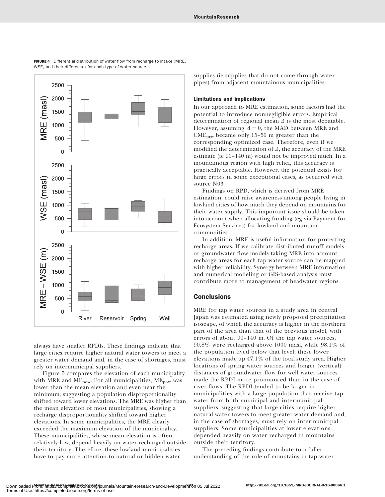

FIGURE 4 Differential distribution of water flow from recharge to intake (MRE, WSE, and their difference) for each type of water source.

always have smaller RPDIs. These findings indicate that large cities require higher natural water towers to meet a greater water demand and, in the case of shortages, must rely on intermunicipal suppliers.

Figure 5 compares the elevation of each municipality with MRE and ME<sub>pow</sub>. For all municipalities,  $ME_{pow}$  was lower than the mean elevation and even near the minimum, suggesting a population disproportionality shifted toward lower elevations. The MRE was higher than the mean elevation of most municipalities, showing a recharge disproportionality shifted toward higher elevations. In some municipalities, the MRE clearly exceeded the maximum elevation of the municipality. These municipalities, whose mean elevation is often relatively low, depend heavily on water recharged outside their territory. Therefore, these lowland municipalities have to pay more attention to natural or hidden water

supplies (ie supplies that do not come through water pipes) from adjacent mountainous municipalities.

#### Limitations and implications

In our approach to MRE estimation, some factors had the potential to introduce nonnegligible errors. Empirical determination of regional mean  $\Delta$  is the most debatable. However, assuming  $\Delta = 0$ , the MAD between MRE and  $CME<sub>prw</sub>$  became only 15–50 m greater than the corresponding optimized case. Therefore, even if we modified the determination of  $\Delta$ , the accuracy of the MRE estimate (ie 90–140 m) would not be improved much. In a mountainous region with high relief, this accuracy is practically acceptable. However, the potential exists for large errors in some exceptional cases, as occurred with source N03.

Findings on RPD, which is derived from MRE estimation, could raise awareness among people living in lowland cities of how much they depend on mountains for their water supply. This important issue should be taken into account when allocating funding (eg via Payment for Ecosystem Services) for lowland and mountain communities.

In addition, MRE is useful information for protecting recharge areas. If we calibrate distributed runoff models or groundwater flow models taking MRE into account, recharge areas for each tap water source can be mapped with higher reliability. Synergy between MRE information and numerical modeling or GIS-based analysis must contribute more to management of headwater regions.

## **Conclusions**

MRE for tap water sources in a study area in central Japan was estimated using newly proposed precipitation isoscape, of which the accuracy is higher in the northern part of the area than that of the previous model, with errors of about 90–140 m. Of the tap water sources, 90.8% were recharged above 1000 masl, while 98.1% of the population lived below that level; these lower elevations made up 47.1% of the total study area. Higher locations of spring water sources and longer (vertical) distances of groundwater flow for well water sources made the RPDI more pronounced than in the case of river flows. The RPDI tended to be larger in municipalities with a large population that receive tap water from both municipal and intermunicipal suppliers, suggesting that large cities require higher natural water towers to meet greater water demand and, in the case of shortages, must rely on intermunicipal suppliers. Some municipalities at lower elevations depended heavily on water recharged in mountains outside their territory.

The preceding findings contribute to a fuller understanding of the role of mountains in tap water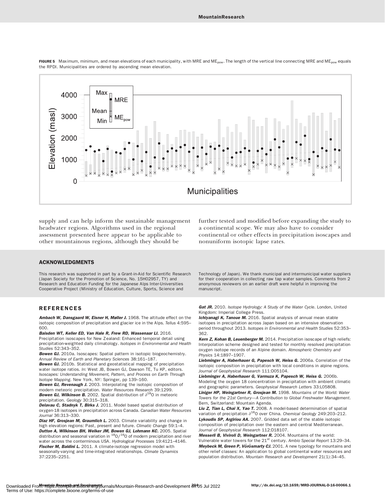

FIGURE 5 Maximum, minimum, and mean elevations of each municipality, with MRE and ME<sub>pow</sub>. The length of the vertical line connecting MRE and ME<sub>pow</sub> equals the RPDI. Municipalities are ordered by ascending mean elevation.

supply and can help inform the sustainable management headwater regions. Algorithms used in the regional assessment presented here appear to be applicable to other mountainous regions, although they should be

#### ACKNOWLEDGMENTS

This research was supported in part by a Grant-in-Aid for Scientific Research (Japan Society for the Promotion of Science, No. 15H02957, TY) and Research and Education Funding for the Japanese Alps Inter-Universities Cooperative Project (Ministry of Education, Culture, Sports, Science and

#### REFERENCES

Ambach W, Dansgaard W, Eisner H, Møller J. 1968. The altitude effect on the isotopic composition of precipitation and glacier ice in the Alps. Tellus 4:595– 600.

Baisden WT, Keller ED, Van Hale R, Frew RD, Wassenaar LI. 2016. Precipitation isoscapes for New Zealand: Enhanced temporal detail using precipitation-weighted daily climatology. Isotopes in Environmental and Health Studies 52:343–352.

Bowen GJ. 2010a. Isoscapes: Spatial pattern in isotopic biogeochemistry. Annual Review of Earth and Planetary Sciences 38:161–187.

**Bowen GJ.** 2010b. Statistical and geostatistical mapping of precipitation water isotope ratios. In: West JB, Bowen GJ, Dawson TE, Tu KP, editors. Isoscapes: Understanding Movement, Pattern, and Process on Earth Through Isotope Mapping. New York, NY: Springer, pp 139–160.

**Bowen GJ, Revenaugh J.** 2003. Interpolating the isotopic composition of modern meteoric precipitation. Water Resources Research 39:1299. **Bowen GJ, Wilkinson B.** 2002. Spatial distribution of  $\delta^{18}$ O in meteoric precipitation. Geology 30:315–318.

Delavau C, Stadnyk T, Birks J. 2011. Model based spatial distribution of oxygen-18 isotopes in precipitation across Canada. Canadian Water Resources Journal 36:313–330.

Diaz HF, Grosjean M, Graumlich L. 2003. Climate variability and change in high elevation regions: Past, present and future. Climatic Change 59:1-4. Dutton A, Wilkinson BH, Welker JM, Bowen GJ, Lohmann KC. 2005. Spatial distribution and seasonal variation in  $\frac{^{18}O}{^{16}O}$  of modern precipitation and river water across the conterminous USA. Hydrological Processes 19:4121–4146. Fischer M, Baldini L. 2011. A climate-isotope regression model with seasonally-varying and time-integrated relationships. Climate Dynamics 37:2235–2251.

further tested and modified before expanding the study to a continental scope. We may also have to consider continental or other effects in precipitation isoscapes and nonuniform isotopic lapse rates.

Technology of Japan). We thank municipal and intermunicipal water suppliers for their cooperation in collecting raw tap water samples. Comments from 2 anonymous reviewers on an earlier draft were helpful in improving the manuscript.

Gat JR. 2010. Isotope Hydrology: A Study of the Water Cycle. London, United Kingdom: Imperial College Press.

Ichiyanagi K, Tanoue M. 2016. Spatial analysis of annual mean stable isotopes in precipitation across Japan based on an intensive observation period throughout 2013. Isotopes in Environmental and Health Studies 52:353– 362.

Kern Z, Kohan B, Leuenberger M. 2014. Precipitation isoscape of high reliefs: Interpolation scheme designed and tested for monthly resolved precipitation oxygen isotope records of an Alpine domain. Atmospheric Chemistry and Physics 14:1897–1907.

Liebminger A, Haberhauer G, Papesch W, Heiss G. 2006a. Correlation of the isotopic composition in precipitation with local conditions in alpine regions. Journal of Geophysical Research 111:D05104.

Liebminger A, Haberhauer G, Varmuza K, Papesch W, Heiss G. 2006b. Modeling the oxygen 18 concentration in precipitation with ambient climatic and geographic parameters. Geophysical Research Letters 33:L05808. Liniger HP, Weingartner R, Grosjean M. 1998. Mountains of the World: Water

Towers for the 21st Century—A Contribution to Global Freshwater Management. Bern, Switzerland: Mountain Agenda.

Liu Z, Tian L, Chai X, Yao T. 2008. A model-based determination of spatial variation of precipitation  $\delta^{18}$ O over China. Chemical Geology 249:203-212. Lykoudis SP, Argiriou AA. 2007. Gridded data set of the stable isotopic composition of precipitation over the eastern and central Mediterranean. Journal of Geophysical Research 112:D18107.

Messerli B, Viviroli D, Weingartner R. 2004. Mountains of the world: Vulnerable water towers for the 21<sup>st</sup> century. Ambio Special Report 13:29-34. Meybeck M, Green P, Vörösmarty CJ. 2001. A new typology for mountains and other relief classes: An application to global continental water resources and population distribution. Mountain Research and Development 21(1):34-45.